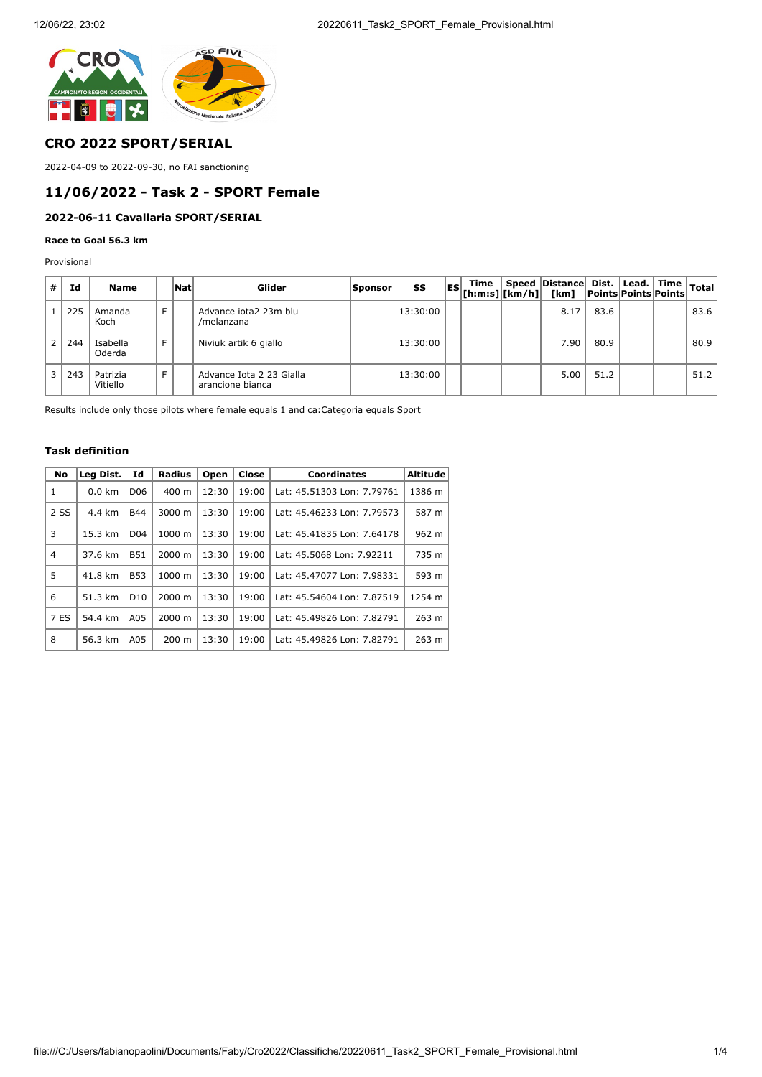

# **CRO 2022 SPORT/SERIAL**

2022-04-09 to 2022-09-30, no FAI sanctioning

# **11/06/2022 - Task 2 - SPORT Female**

# **2022-06-11 Cavallaria SPORT/SERIAL**

#### **Race to Goal 56.3 km**

Provisional

| # | Id  | Name                 |   | Nat | Glider                                       | Sponsor | SS       |  | ES  Time    Speed    Distance    Dist.    Lead.    Time    Total<br>   Total    Total    The    Dinits    Points    Points    Total    Ro |      |  |      |
|---|-----|----------------------|---|-----|----------------------------------------------|---------|----------|--|-------------------------------------------------------------------------------------------------------------------------------------------|------|--|------|
|   | 225 | Amanda<br>Koch       | Е |     | Advance jota2 23m blu<br>/melanzana          |         | 13:30:00 |  | 8.17                                                                                                                                      | 83.6 |  | 83.6 |
|   | 244 | Isabella<br>Oderda   |   |     | Niviuk artik 6 giallo                        |         | 13:30:00 |  | 7.90                                                                                                                                      | 80.9 |  | 80.9 |
|   | 243 | Patrizia<br>Vitiello |   |     | Advance Iota 2 23 Gialla<br>arancione bianca |         | 13:30:00 |  | 5.00                                                                                                                                      | 51.2 |  | 51.2 |

Results include only those pilots where female equals 1 and ca:Categoria equals Sport

### **Task definition**

| No   | Leg Dist. | Id              | <b>Radius</b>   | Open  | Close | Coordinates                | <b>Altitude</b> |
|------|-----------|-----------------|-----------------|-------|-------|----------------------------|-----------------|
| 1    | $0.0$ km  | D <sub>06</sub> | 400 m           | 12:30 | 19:00 | Lat: 45.51303 Lon: 7.79761 | 1386 m          |
| 2 SS | 4.4 km    | <b>B44</b>      | 3000 m          | 13:30 | 19:00 | Lat: 45.46233 Lon: 7.79573 | 587 m           |
| 3    | 15.3 km   | D <sub>04</sub> | 1000 m          | 13:30 | 19:00 | Lat: 45.41835 Lon: 7.64178 | 962 m           |
| 4    | 37.6 km   | <b>B51</b>      | $2000 \; m$     | 13:30 | 19:00 | Lat: 45.5068 Lon: 7.92211  | 735 m           |
| 5    | 41.8 km   | <b>B53</b>      | 1000 m          | 13:30 | 19:00 | Lat: 45.47077 Lon: 7.98331 | 593 m           |
| 6    | 51.3 km   | D <sub>10</sub> | $2000 \; m$     | 13:30 | 19:00 | Lat: 45.54604 Lon: 7.87519 | 1254 m          |
| 7 ES | 54.4 km   | A05             | 2000 m          | 13:30 | 19:00 | Lat: 45.49826 Lon: 7.82791 | 263 m           |
| 8    | 56.3 km   | A05             | $200 \text{ m}$ | 13:30 | 19:00 | Lat: 45.49826 Lon: 7.82791 | 263 m           |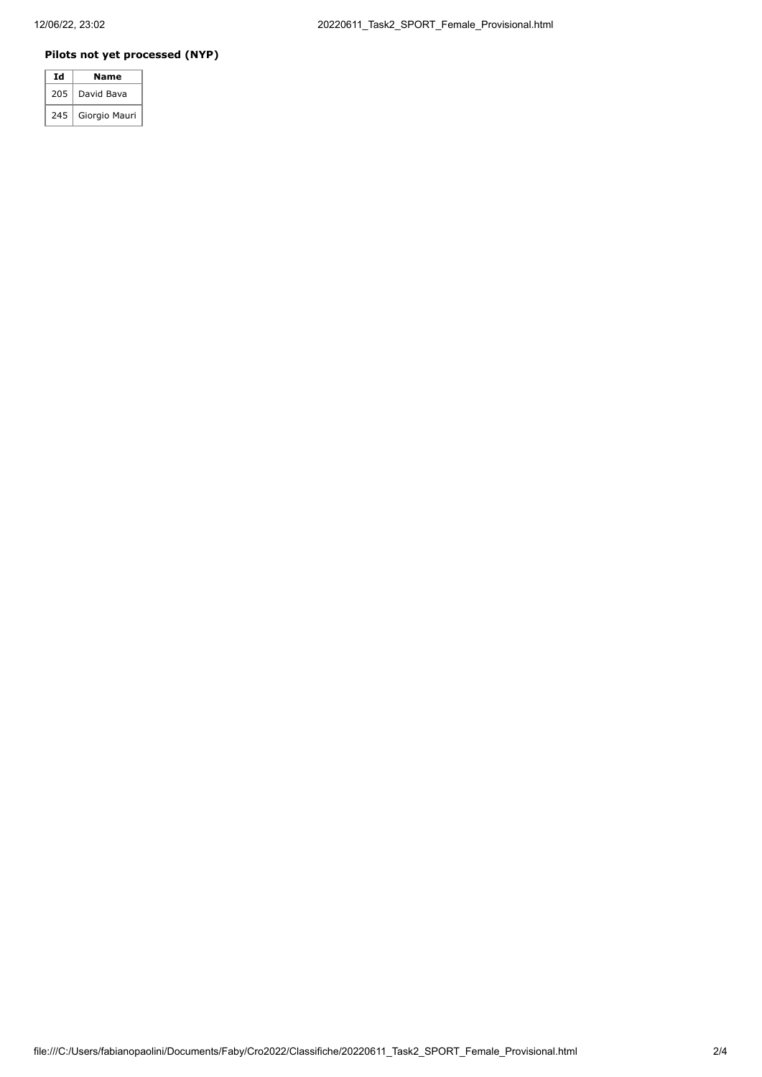## **Pilots not yet processed (NYP)**

| Ιd  | Name          |  |  |  |  |
|-----|---------------|--|--|--|--|
| 205 | David Bava    |  |  |  |  |
| 245 | Giorgio Mauri |  |  |  |  |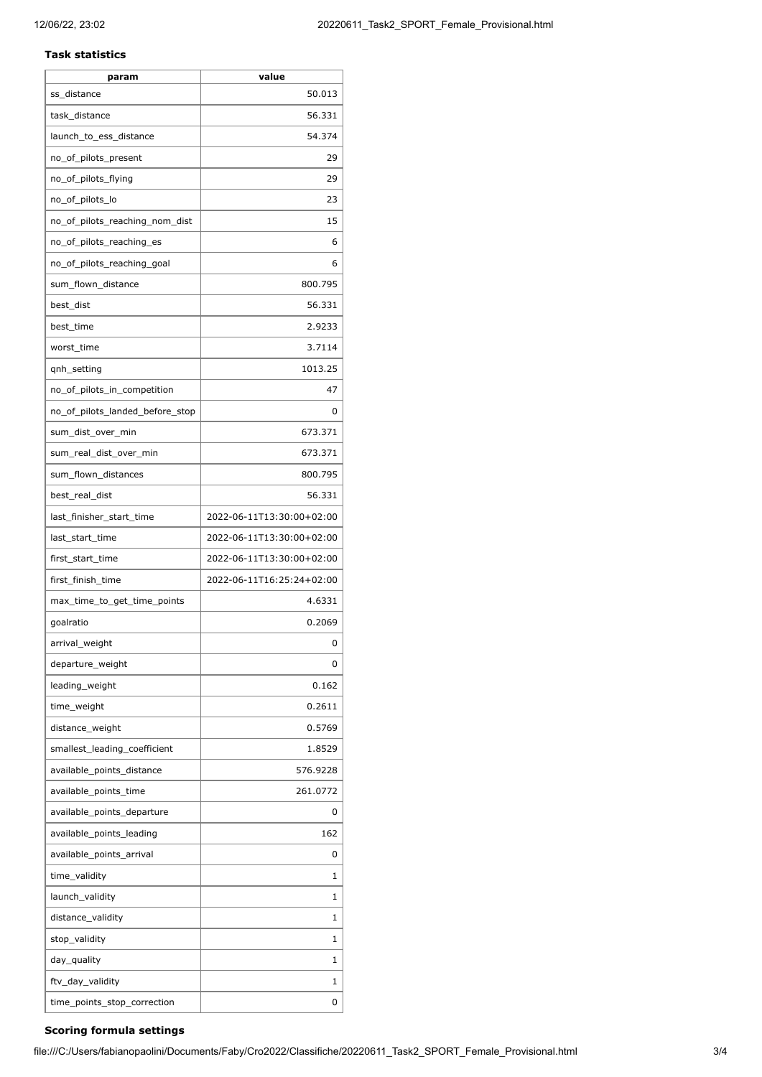#### **Task statistics**

| param                           | value                     |
|---------------------------------|---------------------------|
| ss_distance                     | 50.013                    |
| task_distance                   | 56.331                    |
| launch_to_ess_distance          | 54.374                    |
| no_of_pilots_present            | 29                        |
| no_of_pilots_flying             | 29                        |
| no_of_pilots_lo                 | 23                        |
| no_of_pilots_reaching_nom_dist  | 15                        |
| no_of_pilots_reaching_es        | 6                         |
| no_of_pilots_reaching_goal      | 6                         |
| sum_flown_distance              | 800.795                   |
| best_dist                       | 56.331                    |
| best time                       | 2.9233                    |
| worst_time                      | 3.7114                    |
| qnh_setting                     | 1013.25                   |
| no_of_pilots_in_competition     | 47                        |
| no_of_pilots_landed_before_stop | 0                         |
| sum dist over min               | 673.371                   |
| sum_real_dist_over_min          | 673.371                   |
| sum_flown_distances             | 800.795                   |
| best_real_dist                  | 56.331                    |
| last_finisher_start_time        | 2022-06-11T13:30:00+02:00 |
| last_start_time                 | 2022-06-11T13:30:00+02:00 |
| first_start_time                | 2022-06-11T13:30:00+02:00 |
| first_finish_time               | 2022-06-11T16:25:24+02:00 |
| max_time_to_get_time_points     | 4.6331                    |
| goalratio                       | 0.2069                    |
| arrival_weight                  | 0                         |
| departure_weight                | 0                         |
| leading_weight                  | 0.162                     |
| time_weight                     | 0.2611                    |
| distance_weight                 | 0.5769                    |
| smallest_leading_coefficient    | 1.8529                    |
| available_points_distance       | 576.9228                  |
| available_points_time           | 261.0772                  |
| available_points_departure      | 0                         |
| available_points_leading        | 162                       |
| available_points_arrival        | 0                         |
| time_validity                   | 1                         |
| launch_validity                 | 1                         |
| distance_validity               | 1                         |
| stop_validity                   | 1                         |
| day_quality                     | 1                         |
| ftv_day_validity                | 1                         |
| time_points_stop_correction     | 0                         |
|                                 |                           |

## **Scoring formula settings**